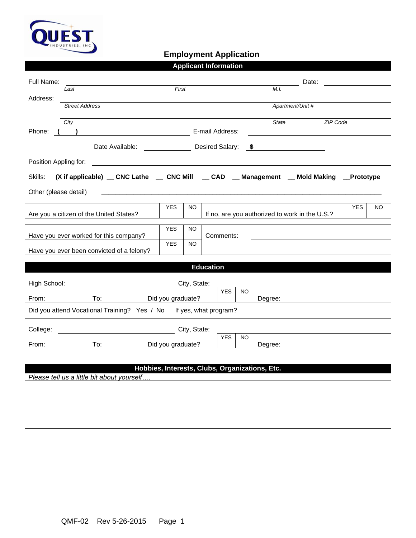

## **Employment Application**

| <b>Applicant Information</b>                                                                                                                   |                                                                                                                 |                   |                                                |                                          |  |  |  |  |  |  |
|------------------------------------------------------------------------------------------------------------------------------------------------|-----------------------------------------------------------------------------------------------------------------|-------------------|------------------------------------------------|------------------------------------------|--|--|--|--|--|--|
| Full Name:                                                                                                                                     |                                                                                                                 |                   |                                                | Date:<br><u> 1990 - Jan Alexandria (</u> |  |  |  |  |  |  |
| Last                                                                                                                                           | First                                                                                                           |                   | M.I.                                           |                                          |  |  |  |  |  |  |
| Address:<br><b>Street Address</b>                                                                                                              |                                                                                                                 |                   | Apartment/Unit #                               |                                          |  |  |  |  |  |  |
|                                                                                                                                                |                                                                                                                 |                   |                                                |                                          |  |  |  |  |  |  |
| City<br>Phone:                                                                                                                                 |                                                                                                                 |                   | State                                          | <b>ZIP Code</b>                          |  |  |  |  |  |  |
|                                                                                                                                                | E-mail Address:<br>$\left( \begin{array}{c} 1 \end{array} \right)$<br><u> 1980 - Andrea Aonaichte ann an t-</u> |                   |                                                |                                          |  |  |  |  |  |  |
| Date Available:<br>Desired Salary: \$                                                                                                          |                                                                                                                 |                   |                                                |                                          |  |  |  |  |  |  |
| Position Appling for:<br><u> 1989 - Johann Harry Harry Harry Harry Harry Harry Harry Harry Harry Harry Harry Harry Harry Harry Harry Harry</u> |                                                                                                                 |                   |                                                |                                          |  |  |  |  |  |  |
| (X if applicable) _ CNC Lathe _ CNC Mill _ CAD _ Management _ Mold Making _ Prototype<br>Skills:                                               |                                                                                                                 |                   |                                                |                                          |  |  |  |  |  |  |
| Other (please detail)                                                                                                                          |                                                                                                                 |                   |                                                |                                          |  |  |  |  |  |  |
|                                                                                                                                                |                                                                                                                 |                   |                                                |                                          |  |  |  |  |  |  |
| Are you a citizen of the United States?                                                                                                        | <b>YES</b><br>NO.                                                                                               |                   | If no, are you authorized to work in the U.S.? | <b>YES</b><br>NO.                        |  |  |  |  |  |  |
|                                                                                                                                                |                                                                                                                 |                   |                                                |                                          |  |  |  |  |  |  |
| Have you ever worked for this company?                                                                                                         | <b>YES</b><br>NO.                                                                                               | Comments:         |                                                |                                          |  |  |  |  |  |  |
| Have you ever been convicted of a felony?                                                                                                      | <b>YES</b><br>NO.                                                                                               |                   |                                                |                                          |  |  |  |  |  |  |
|                                                                                                                                                |                                                                                                                 |                   |                                                |                                          |  |  |  |  |  |  |
|                                                                                                                                                |                                                                                                                 | <b>Education</b>  |                                                |                                          |  |  |  |  |  |  |
| High School:                                                                                                                                   | City, State:                                                                                                    |                   |                                                |                                          |  |  |  |  |  |  |
| To:<br>From:                                                                                                                                   | Did you graduate?                                                                                               | <b>YES</b><br>NO. | Degree:                                        |                                          |  |  |  |  |  |  |
| Did you attend Vocational Training? Yes / No If yes, what program?                                                                             |                                                                                                                 |                   |                                                |                                          |  |  |  |  |  |  |
|                                                                                                                                                |                                                                                                                 |                   |                                                |                                          |  |  |  |  |  |  |
| College:                                                                                                                                       | City, State:                                                                                                    |                   |                                                |                                          |  |  |  |  |  |  |
| From:<br>To:                                                                                                                                   | Did you graduate?                                                                                               | <b>YES</b><br>NO. | Degree:                                        |                                          |  |  |  |  |  |  |
|                                                                                                                                                |                                                                                                                 |                   |                                                |                                          |  |  |  |  |  |  |
|                                                                                                                                                | Hobbies, Interests, Clubs, Organizations, Etc.                                                                  |                   |                                                |                                          |  |  |  |  |  |  |

*Please tell us a little bit about yourself….*